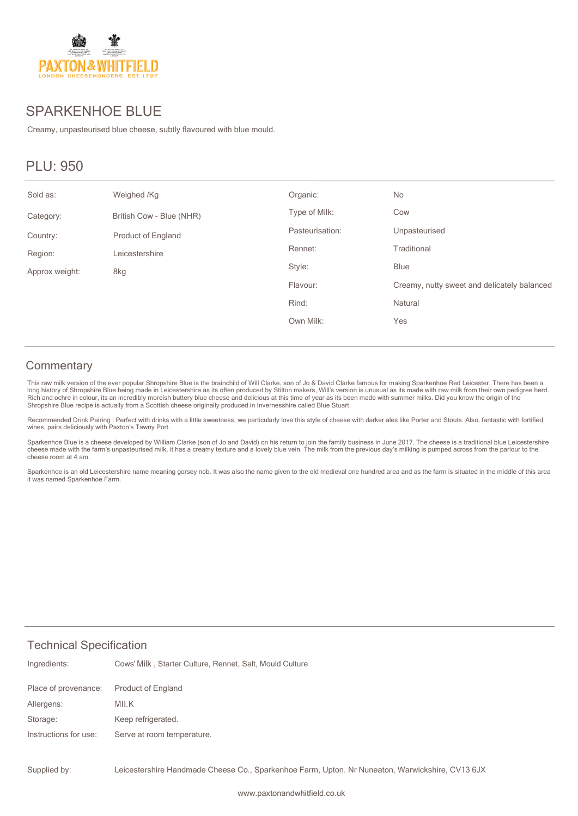

## SPARKENHOE BLUE

Creamy, unpasteurised blue cheese, subtly flavoured with blue mould.

# PLU: 950

| Sold as:       | Weighed /Kg               | Organic:        | No                                          |
|----------------|---------------------------|-----------------|---------------------------------------------|
| Category:      | British Cow - Blue (NHR)  | Type of Milk:   | Cow                                         |
| Country:       | <b>Product of England</b> | Pasteurisation: | Unpasteurised                               |
| Region:        | Leicestershire            | Rennet:         | Traditional                                 |
| Approx weight: | 8kg                       | Style:          | <b>Blue</b>                                 |
|                |                           | Flavour:        | Creamy, nutty sweet and delicately balanced |
|                |                           | Rind:           | Natural                                     |
|                |                           | Own Milk:       | Yes                                         |

#### **Commentary**

This raw milk version of the ever popular Shropshire Blue is the brainchild of Will Clarke, son of Jo & David Clarke famous for making Sparkenhoe Red Leicester. There has been a<br>long history of Shropshire Blue being made i Shropshire Blue recipe is actually from a Scottish cheese originally produced in Invernesshire called Blue Stuart.

Recommended Drink Pairing : Perfect with drinks with a little sweetness, we particularly love this style of cheese with darker ales like Porter and Stouts. Also, fantastic with fortified<br>wines, pairs deliciously with Paxto

Sparkenhoe Blue is a cheese developed by William Clarke (son of Jo and David) on his return to join the family business in June 2017. The cheese is a traditional blue Leicestershire<br>cheese made with the farm's unpasteurise cheese room at 4 am.

Sparkenhoe is an old Leicestershire name meaning gorsey nob. It was also the name given to the old medieval one hundred area and as the farm is situated in the middle of this area it was named Sparkenhoe Farm.

#### Technical Specification

| Ingredients:          | Cows' Milk, Starter Culture, Rennet, Salt, Mould Culture |
|-----------------------|----------------------------------------------------------|
| Place of provenance:  | <b>Product of England</b>                                |
| Allergens:            | MILK                                                     |
| Storage:              | Keep refrigerated.                                       |
| Instructions for use: | Serve at room temperature.                               |
|                       |                                                          |

Leicestershire Handmade Cheese Co., Sparkenhoe Farm, Upton. Nr Nuneaton, Warwickshire, CV13 6JX Supplied by: